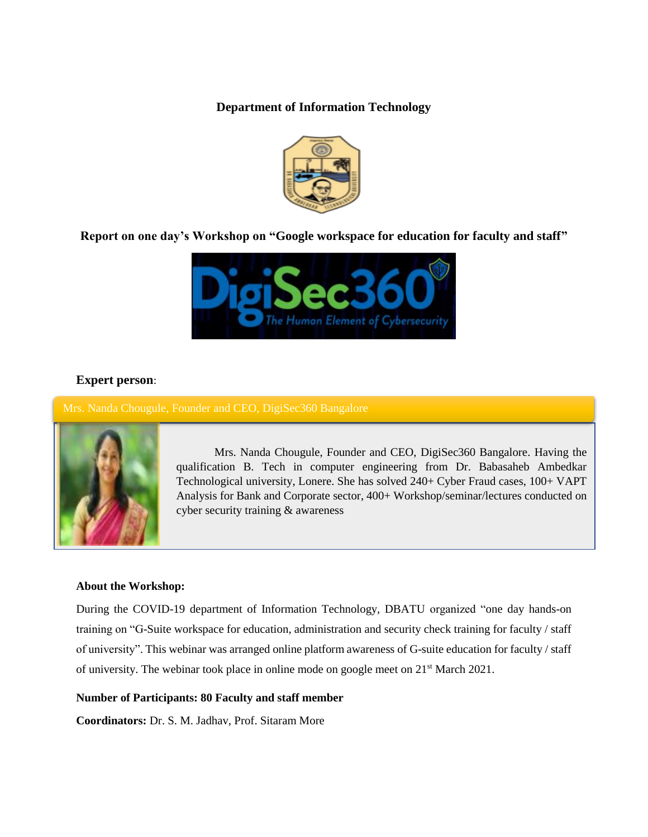**Department of Information Technology**



# **Report on one day's Workshop on "Google workspace for education for faculty and staff"**



### **Expert person**:

Mrs. Nanda Chougule, Founder and CEO, DigiSec360 Bangalore



Mrs. Nanda Chougule, Founder and CEO, DigiSec360 Bangalore. Having the qualification B. Tech in computer engineering from Dr. Babasaheb Ambedkar Technological university, Lonere. She has solved 240+ Cyber Fraud cases, 100+ VAPT Analysis for Bank and Corporate sector, 400+ Workshop/seminar/lectures conducted on cyber security training & awareness

#### **About the Workshop:**

During the COVID-19 department of Information Technology, DBATU organized "one day hands-on training on "G-Suite workspace for education, administration and security check training for faculty / staff of university". This webinar was arranged online platform awareness of G-suite education for faculty / staff of university. The webinar took place in online mode on google meet on  $21<sup>st</sup>$  March 2021.

#### **Number of Participants: 80 Faculty and staff member**

**Coordinators:** Dr. S. M. Jadhav, Prof. Sitaram More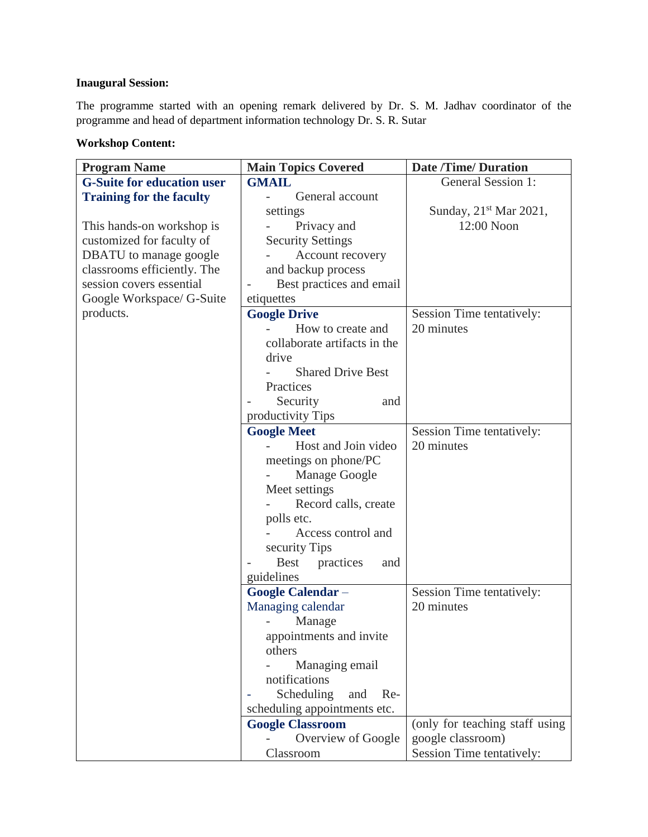### **Inaugural Session:**

The programme started with an opening remark delivered by Dr. S. M. Jadhav coordinator of the programme and head of department information technology Dr. S. R. Sutar

# **Workshop Content:**

| <b>Program Name</b>               | <b>Main Topics Covered</b>      | <b>Date /Time/ Duration</b>    |
|-----------------------------------|---------------------------------|--------------------------------|
| <b>G-Suite for education user</b> | <b>GMAIL</b>                    | General Session 1:             |
| <b>Training for the faculty</b>   | General account                 |                                |
|                                   | settings                        | Sunday, $21st$ Mar 2021,       |
| This hands-on workshop is         | Privacy and                     | 12:00 Noon                     |
| customized for faculty of         | <b>Security Settings</b>        |                                |
| DBATU to manage google            | Account recovery                |                                |
| classrooms efficiently. The       | and backup process              |                                |
| session covers essential          | Best practices and email        |                                |
| Google Workspace/ G-Suite         | etiquettes                      |                                |
| products.                         | <b>Google Drive</b>             | Session Time tentatively:      |
|                                   | How to create and               | 20 minutes                     |
|                                   | collaborate artifacts in the    |                                |
|                                   | drive                           |                                |
|                                   | <b>Shared Drive Best</b>        |                                |
|                                   | Practices                       |                                |
|                                   | Security<br>and                 |                                |
|                                   | productivity Tips               |                                |
|                                   | <b>Google Meet</b>              | Session Time tentatively:      |
|                                   | Host and Join video             | 20 minutes                     |
|                                   | meetings on phone/PC            |                                |
|                                   | Manage Google                   |                                |
|                                   | Meet settings                   |                                |
|                                   | Record calls, create            |                                |
|                                   | polls etc.                      |                                |
|                                   | Access control and              |                                |
|                                   | security Tips                   |                                |
|                                   | <b>Best</b><br>practices<br>and |                                |
|                                   | guidelines                      |                                |
|                                   | <b>Google Calendar -</b>        | Session Time tentatively:      |
|                                   | Managing calendar               | 20 minutes                     |
|                                   | Manage                          |                                |
|                                   | appointments and invite         |                                |
|                                   | others                          |                                |
|                                   | Managing email                  |                                |
|                                   | notifications                   |                                |
|                                   | Scheduling<br>and Re-           |                                |
|                                   | scheduling appointments etc.    |                                |
|                                   | <b>Google Classroom</b>         | (only for teaching staff using |
|                                   | Overview of Google              | google classroom)              |
|                                   | Classroom                       | Session Time tentatively:      |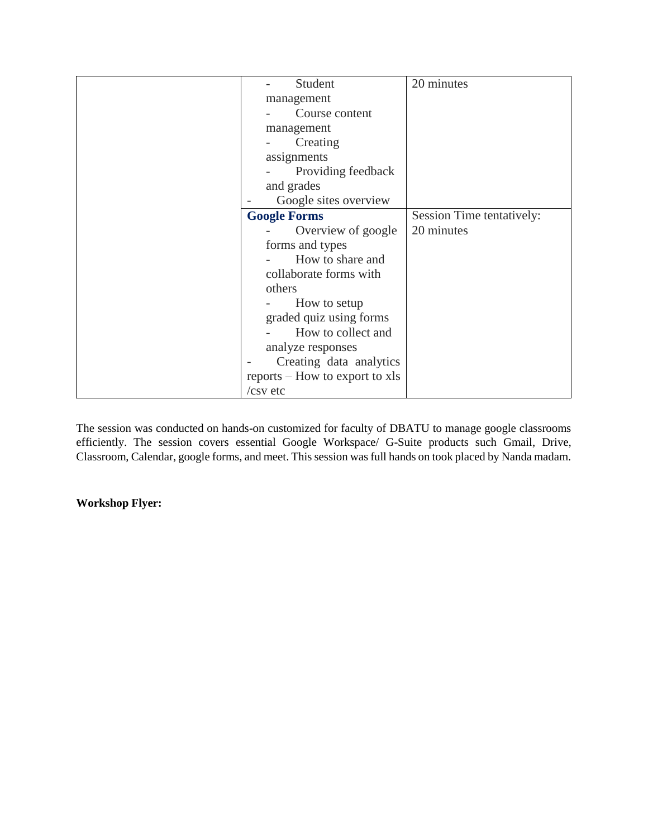| Student                        | 20 minutes                |
|--------------------------------|---------------------------|
| management                     |                           |
| Course content                 |                           |
| management                     |                           |
| Creating                       |                           |
| assignments                    |                           |
| Providing feedback             |                           |
| and grades                     |                           |
| Google sites overview          |                           |
| <b>Google Forms</b>            | Session Time tentatively: |
| Overview of google             | 20 minutes                |
| forms and types                |                           |
| How to share and               |                           |
| collaborate forms with         |                           |
| others                         |                           |
| How to setup                   |                           |
| graded quiz using forms        |                           |
| How to collect and             |                           |
| analyze responses              |                           |
| Creating data analytics        |                           |
| reports – How to export to xls |                           |
| $\sqrt{csv}$ etc               |                           |

The session was conducted on hands-on customized for faculty of DBATU to manage google classrooms efficiently. The session covers essential Google Workspace/ G-Suite products such Gmail, Drive, Classroom, Calendar, google forms, and meet. This session was full hands on took placed by Nanda madam.

# **Workshop Flyer:**